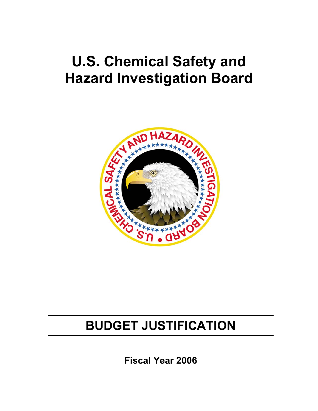# **U.S. Chemical Safety and Hazard Investigation Board**



# **BUDGET JUSTIFICATION**

**Fiscal Year 2006**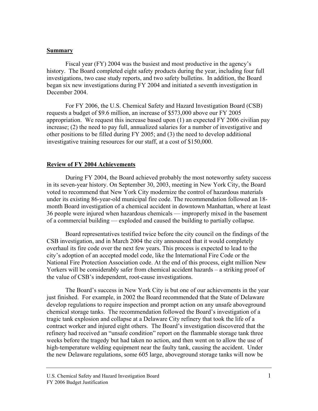#### **Summary**

Fiscal year (FY) 2004 was the busiest and most productive in the agency's history. The Board completed eight safety products during the year, including four full investigations, two case study reports, and two safety bulletins. In addition, the Board began six new investigations during FY 2004 and initiated a seventh investigation in December 2004.

For FY 2006, the U.S. Chemical Safety and Hazard Investigation Board (CSB) requests a budget of \$9.6 million, an increase of \$573,000 above our FY 2005 appropriation. We request this increase based upon (1) an expected FY 2006 civilian pay increase; (2) the need to pay full, annualized salaries for a number of investigative and other positions to be filled during FY 2005; and (3) the need to develop additional investigative training resources for our staff, at a cost of \$150,000.

#### **Review of FY 2004 Achievements**

During FY 2004, the Board achieved probably the most noteworthy safety success in its seven-year history. On September 30, 2003, meeting in New York City, the Board voted to recommend that New York City modernize the control of hazardous materials under its existing 86-year-old municipal fire code. The recommendation followed an 18 month Board investigation of a chemical accident in downtown Manhattan, where at least 36 people were injured when hazardous chemicals — improperly mixed in the basement of a commercial building — exploded and caused the building to partially collapse.

Board representatives testified twice before the city council on the findings of the CSB investigation, and in March 2004 the city announced that it would completely overhaul its fire code over the next few years. This process is expected to lead to the city's adoption of an accepted model code, like the International Fire Code or the National Fire Protection Association code. At the end of this process, eight million New Yorkers will be considerably safer from chemical accident hazards – a striking proof of the value of CSB's independent, root-cause investigations.

The Board's success in New York City is but one of our achievements in the year just finished. For example, in 2002 the Board recommended that the State of Delaware develop regulations to require inspection and prompt action on any unsafe aboveground chemical storage tanks. The recommendation followed the Board's investigation of a tragic tank explosion and collapse at a Delaware City refinery that took the life of a contract worker and injured eight others. The Board's investigation discovered that the refinery had received an "unsafe condition" report on the flammable storage tank three weeks before the tragedy but had taken no action, and then went on to allow the use of high-temperature welding equipment near the faulty tank, causing the accident. Under the new Delaware regulations, some 605 large, aboveground storage tanks will now be

U.S. Chemical Safety and Hazard Investigation Board 1 FY 2006 Budget Justification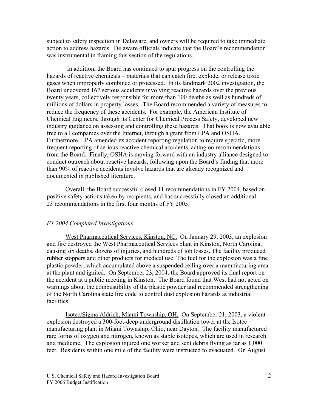subject to safety inspection in Delaware, and owners will be required to take immediate action to address hazards. Delaware officials indicate that the Board's recommendation was instrumental in framing this section of the regulations.

 In addition, the Board has continued to spur progress on the controlling the hazards of reactive chemicals – materials that can catch fire, explode, or release toxic gases when improperly combined or processed. In its landmark 2002 investigation, the Board uncovered 167 serious accidents involving reactive hazards over the previous twenty years, collectively responsible for more than 100 deaths as well as hundreds of millions of dollars in property losses. The Board recommended a variety of measures to reduce the frequency of these accidents. For example, the American Institute of Chemical Engineers, through its Center for Chemical Process Safety, developed new industry guidance on assessing and controlling these hazards. That book is now available free to all companies over the Internet, through a grant from EPA and OSHA. Furthermore, EPA amended its accident reporting regulation to require specific, more frequent reporting of serious reactive chemical accidents, acting on recommendations from the Board. Finally, OSHA is moving forward with an industry alliance designed to conduct outreach about reactive hazards, following upon the Board's finding that more than 90% of reactive accidents involve hazards that are already recognized and documented in published literature.

Overall, the Board successful closed 11 recommendations in FY 2004, based on positive safety actions taken by recipients, and has successfully closed an additional 23 recommendations in the first four months of FY 2005.

#### *FY 2004 Completed Investigations*

West Pharmaceutical Services, Kinston, NC. On January 29, 2003, an explosion and fire destroyed the West Pharmaceutical Services plant in Kinston, North Carolina, causing six deaths, dozens of injuries, and hundreds of job losses. The facility produced rubber stoppers and other products for medical use. The fuel for the explosion was a fine plastic powder, which accumulated above a suspended ceiling over a manufacturing area at the plant and ignited. On September 23, 2004, the Board approved its final report on the accident at a public meeting in Kinston. The Board found that West had not acted on warnings about the combustibility of the plastic powder and recommended strengthening of the North Carolina state fire code to control dust explosion hazards at industrial facilities.

Isotec/Sigma Aldrich, Miami Township, OH. On September 21, 2003, a violent explosion destroyed a 300-foot-deep underground distillation tower at the Isotec manufacturing plant in Miami Township, Ohio, near Dayton. The facility manufactured rare forms of oxygen and nitrogen, known as stable isotopes, which are used in research and medicine. The explosion injured one worker and sent debris flying as far as 1,000 feet. Residents within one mile of the facility were instructed to evacuated. On August

U.S. Chemical Safety and Hazard Investigation Board 2 FY 2006 Budget Justification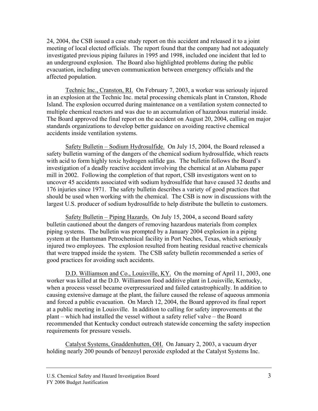24, 2004, the CSB issued a case study report on this accident and released it to a joint meeting of local elected officials. The report found that the company had not adequately investigated previous piping failures in 1995 and 1998, included one incident that led to an underground explosion. The Board also highlighted problems during the public evacuation, including uneven communication between emergency officials and the affected population.

Technic Inc., Cranston, RI. On February 7, 2003, a worker was seriously injured in an explosion at the Technic Inc. metal processing chemicals plant in Cranston, Rhode Island. The explosion occurred during maintenance on a ventilation system connected to multiple chemical reactors and was due to an accumulation of hazardous material inside. The Board approved the final report on the accident on August 20, 2004, calling on major standards organizations to develop better guidance on avoiding reactive chemical accidents inside ventilation systems.

Safety Bulletin – Sodium Hydrosulfide. On July 15, 2004, the Board released a safety bulletin warning of the dangers of the chemical sodium hydrosulfide, which reacts with acid to form highly toxic hydrogen sulfide gas. The bulletin follows the Board's investigation of a deadly reactive accident involving the chemical at an Alabama paper mill in 2002. Following the completion of that report, CSB investigators went on to uncover 45 accidents associated with sodium hydrosulfide that have caused 32 deaths and 176 injuries since 1971. The safety bulletin describes a variety of good practices that should be used when working with the chemical. The CSB is now in discussions with the largest U.S. producer of sodium hydrosulfide to help distribute the bulletin to customers.

Safety Bulletin – Piping Hazards. On July 15, 2004, a second Board safety bulletin cautioned about the dangers of removing hazardous materials from complex piping systems. The bulletin was prompted by a January 2004 explosion in a piping system at the Huntsman Petrochemical facility in Port Neches, Texas, which seriously injured two employees. The explosion resulted from heating residual reactive chemicals that were trapped inside the system. The CSB safety bulletin recommended a series of good practices for avoiding such accidents.

D.D. Williamson and Co., Louisville, KY. On the morning of April 11, 2003, one worker was killed at the D.D. Williamson food additive plant in Louisville, Kentucky, when a process vessel became overpressurized and failed catastrophically. In addition to causing extensive damage at the plant, the failure caused the release of aqueous ammonia and forced a public evacuation. On March 12, 2004, the Board approved its final report at a public meeting in Louisville. In addition to calling for safety improvements at the plant – which had installed the vessel without a safety relief valve – the Board recommended that Kentucky conduct outreach statewide concerning the safety inspection requirements for pressure vessels.

Catalyst Systems, Gnaddenhutten, OH. On January 2, 2003, a vacuum dryer holding nearly 200 pounds of benzoyl peroxide exploded at the Catalyst Systems Inc.

U.S. Chemical Safety and Hazard Investigation Board 3 FY 2006 Budget Justification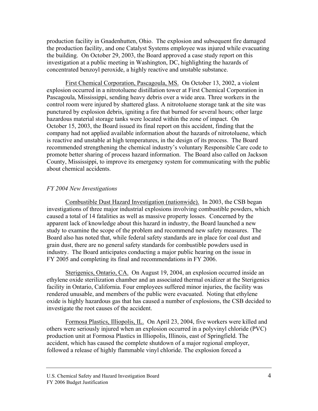production facility in Gnadenhutten, Ohio. The explosion and subsequent fire damaged the production facility, and one Catalyst Systems employee was injured while evacuating the building. On October 29, 2003, the Board approved a case study report on this investigation at a public meeting in Washington, DC, highlighting the hazards of concentrated benzoyl peroxide, a highly reactive and unstable substance.

First Chemical Corporation, Pascagoula, MS. On October 13, 2002, a violent explosion occurred in a nitrotoluene distillation tower at First Chemical Corporation in Pascagoula, Mississippi, sending heavy debris over a wide area. Three workers in the control room were injured by shattered glass. A nitrotoluene storage tank at the site was punctured by explosion debris, igniting a fire that burned for several hours; other large hazardous material storage tanks were located within the zone of impact. On October 15, 2003, the Board issued its final report on this accident, finding that the company had not applied available information about the hazards of nitrotoluene, which is reactive and unstable at high temperatures, in the design of its process. The Board recommended strengthening the chemical industry's voluntary Responsible Care code to promote better sharing of process hazard information. The Board also called on Jackson County, Mississippi, to improve its emergency system for communicating with the public about chemical accidents.

#### *FY 2004 New Investigations*

Combustible Dust Hazard Investigation (nationwide). In 2003, the CSB began investigations of three major industrial explosions involving combustible powders, which caused a total of 14 fatalities as well as massive property losses. Concerned by the apparent lack of knowledge about this hazard in industry, the Board launched a new study to examine the scope of the problem and recommend new safety measures. The Board also has noted that, while federal safety standards are in place for coal dust and grain dust, there are no general safety standards for combustible powders used in industry. The Board anticipates conducting a major public hearing on the issue in FY 2005 and completing its final and recommendations in FY 2006.

Sterigenics, Ontario, CA. On August 19, 2004, an explosion occurred inside an ethylene oxide sterilization chamber and an associated thermal oxidizer at the Sterigenics facility in Ontario, California. Four employees suffered minor injuries, the facility was rendered unusable, and members of the public were evacuated. Noting that ethylene oxide is highly hazardous gas that has caused a number of explosions, the CSB decided to investigate the root causes of the accident.

Formosa Plastics, Illiopolis, IL.On April 23, 2004, five workers were killed and others were seriously injured when an explosion occurred in a polyvinyl chloride (PVC) production unit at Formosa Plastics in Illiopolis, Illinois, east of Springfield. The accident, which has caused the complete shutdown of a major regional employer, followed a release of highly flammable vinyl chloride. The explosion forced a

U.S. Chemical Safety and Hazard Investigation Board 4 FY 2006 Budget Justification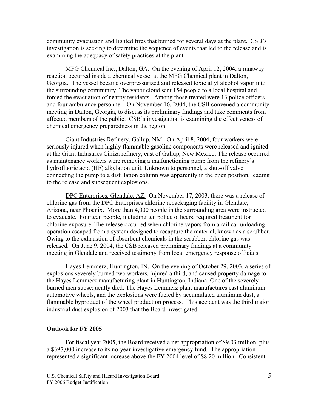community evacuation and lighted fires that burned for several days at the plant. CSB's investigation is seeking to determine the sequence of events that led to the release and is examining the adequacy of safety practices at the plant.

MFG Chemical Inc., Dalton, GA.On the evening of April 12, 2004, a runaway reaction occurred inside a chemical vessel at the MFG Chemical plant in Dalton, Georgia. The vessel became overpressurized and released toxic allyl alcohol vapor into the surrounding community. The vapor cloud sent 154 people to a local hospital and forced the evacuation of nearby residents. Among those treated were 13 police officers and four ambulance personnel. On November 16, 2004, the CSB convened a community meeting in Dalton, Georgia, to discuss its preliminary findings and take comments from affected members of the public. CSB's investigation is examining the effectiveness of chemical emergency preparedness in the region.

Giant Industries Refinery, Gallup, NM.On April 8, 2004, four workers were seriously injured when highly flammable gasoline components were released and ignited at the Giant Industries Ciniza refinery, east of Gallup, New Mexico. The release occurred as maintenance workers were removing a malfunctioning pump from the refinery's hydrofluoric acid (HF) alkylation unit. Unknown to personnel, a shut-off valve connecting the pump to a distillation column was apparently in the open position, leading to the release and subsequent explosions.

DPC Enterprises, Glendale, AZ.On November 17, 2003, there was a release of chlorine gas from the DPC Enterprises chlorine repackaging facility in Glendale, Arizona, near Phoenix. More than 4,000 people in the surrounding area were instructed to evacuate. Fourteen people, including ten police officers, required treatment for chlorine exposure. The release occurred when chlorine vapors from a rail car unloading operation escaped from a system designed to recapture the material, known as a scrubber. Owing to the exhaustion of absorbent chemicals in the scrubber, chlorine gas was released. On June 9, 2004, the CSB released preliminary findings at a community meeting in Glendale and received testimony from local emergency response officials.

Hayes Lemmerz, Huntington, IN.On the evening of October 29, 2003, a series of explosions severely burned two workers, injured a third, and caused property damage to the Hayes Lemmerz manufacturing plant in Huntington, Indiana. One of the severely burned men subsequently died. The Hayes Lemmerz plant manufactures cast aluminum automotive wheels, and the explosions were fueled by accumulated aluminum dust, a flammable byproduct of the wheel production process. This accident was the third major industrial dust explosion of 2003 that the Board investigated.

# **Outlook for FY 2005**

For fiscal year 2005, the Board received a net appropriation of \$9.03 million, plus a \$397,000 increase to its no-year investigative emergency fund. The appropriation represented a significant increase above the FY 2004 level of \$8.20 million. Consistent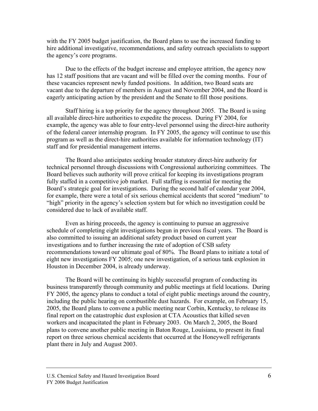with the FY 2005 budget justification, the Board plans to use the increased funding to hire additional investigative, recommendations, and safety outreach specialists to support the agency's core programs.

Due to the effects of the budget increase and employee attrition, the agency now has 12 staff positions that are vacant and will be filled over the coming months. Four of these vacancies represent newly funded positions. In addition, two Board seats are vacant due to the departure of members in August and November 2004, and the Board is eagerly anticipating action by the president and the Senate to fill those positions.

Staff hiring is a top priority for the agency throughout 2005. The Board is using all available direct-hire authorities to expedite the process. During FY 2004, for example, the agency was able to four entry-level personnel using the direct-hire authority of the federal career internship program. In FY 2005, the agency will continue to use this program as well as the direct-hire authorities available for information technology (IT) staff and for presidential management interns.

The Board also anticipates seeking broader statutory direct-hire authority for technical personnel through discussions with Congressional authorizing committees. The Board believes such authority will prove critical for keeping its investigations program fully staffed in a competitive job market. Full staffing is essential for meeting the Board's strategic goal for investigations. During the second half of calendar year 2004, for example, there were a total of six serious chemical accidents that scored "medium" to "high" priority in the agency's selection system but for which no investigation could be considered due to lack of available staff.

Even as hiring proceeds, the agency is continuing to pursue an aggressive schedule of completing eight investigations begun in previous fiscal years. The Board is also committed to issuing an additional safety product based on current year investigations and to further increasing the rate of adoption of CSB safety recommendations toward our ultimate goal of 80%. The Board plans to initiate a total of eight new investigations FY 2005; one new investigation, of a serious tank explosion in Houston in December 2004, is already underway.

The Board will be continuing its highly successful program of conducting its business transparently through community and public meetings at field locations. During FY 2005, the agency plans to conduct a total of eight public meetings around the country, including the public hearing on combustible dust hazards. For example, on February 15, 2005, the Board plans to convene a public meeting near Corbin, Kentucky, to release its final report on the catastrophic dust explosion at CTA Acoustics that killed seven workers and incapacitated the plant in February 2003. On March 2, 2005, the Board plans to convene another public meeting in Baton Rouge, Louisiana, to present its final report on three serious chemical accidents that occurred at the Honeywell refrigerants plant there in July and August 2003.

U.S. Chemical Safety and Hazard Investigation Board 6 FY 2006 Budget Justification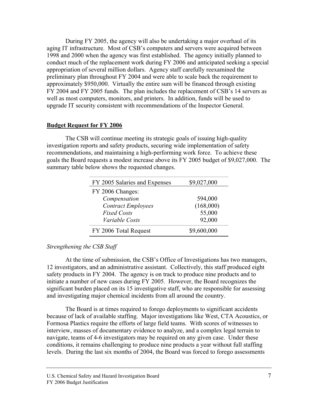During FY 2005, the agency will also be undertaking a major overhaul of its aging IT infrastructure. Most of CSB's computers and servers were acquired between 1998 and 2000 when the agency was first established. The agency initially planned to conduct much of the replacement work during FY 2006 and anticipated seeking a special appropriation of several million dollars. Agency staff carefully reexamined the preliminary plan throughout FY 2004 and were able to scale back the requirement to approximately \$950,000. Virtually the entire sum will be financed through existing FY 2004 and FY 2005 funds. The plan includes the replacement of CSB's 14 servers as well as most computers, monitors, and printers. In addition, funds will be used to upgrade IT security consistent with recommendations of the Inspector General.

## **Budget Request for FY 2006**

The CSB will continue meeting its strategic goals of issuing high-quality investigation reports and safety products, securing wide implementation of safety recommendations, and maintaining a high-performing work force. To achieve these goals the Board requests a modest increase above its FY 2005 budget of \$9,027,000. The summary table below shows the requested changes.

| FY 2005 Salaries and Expenses | \$9,027,000 |
|-------------------------------|-------------|
| FY 2006 Changes:              |             |
| Compensation                  | 594,000     |
| <b>Contract Employees</b>     | (168,000)   |
| <b>Fixed Costs</b>            | 55,000      |
| Variable Costs                | 92,000      |
| FY 2006 Total Request         | \$9,600,000 |

# *Strengthening the CSB Staff*

At the time of submission, the CSB's Office of Investigations has two managers, 12 investigators, and an administrative assistant. Collectively, this staff produced eight safety products in FY 2004. The agency is on track to produce nine products and to initiate a number of new cases during FY 2005. However, the Board recognizes the significant burden placed on its 15 investigative staff, who are responsible for assessing and investigating major chemical incidents from all around the country.

The Board is at times required to forego deployments to significant accidents because of lack of available staffing. Major investigations like West, CTA Acoustics, or Formosa Plastics require the efforts of large field teams. With scores of witnesses to interview, masses of documentary evidence to analyze, and a complex legal terrain to navigate, teams of 4-6 investigators may be required on any given case. Under these conditions, it remains challenging to produce nine products a year without full staffing levels. During the last six months of 2004, the Board was forced to forego assessments

U.S. Chemical Safety and Hazard Investigation Board 7 FY 2006 Budget Justification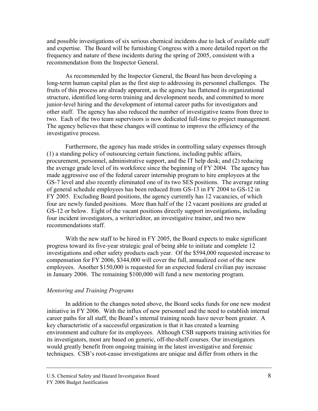and possible investigations of six serious chemical incidents due to lack of available staff and expertise. The Board will be furnishing Congress with a more detailed report on the frequency and nature of these incidents during the spring of 2005, consistent with a recommendation from the Inspector General.

As recommended by the Inspector General, the Board has been developing a long-term human capital plan as the first step to addressing its personnel challenges. The fruits of this process are already apparent, as the agency has flattened its organizational structure, identified long-term training and development needs, and committed to more junior-level hiring and the development of internal career paths for investigators and other staff. The agency has also reduced the number of investigative teams from three to two. Each of the two team supervisors is now dedicated full-time to project management. The agency believes that these changes will continue to improve the efficiency of the investigative process.

Furthermore, the agency has made strides in controlling salary expenses through (1) a standing policy of outsourcing certain functions, including public affairs, procurement, personnel, administrative support, and the IT help desk; and (2) reducing the average grade level of its workforce since the beginning of FY 2004. The agency has made aggressive use of the federal career internship program to hire employees at the GS-7 level and also recently eliminated one of its two SES positions. The average rating of general schedule employees has been reduced from GS-13 in FY 2004 to GS-12 in FY 2005. Excluding Board positions, the agency currently has 12 vacancies, of which four are newly funded positions. More than half of the 12 vacant positions are graded at GS-12 or below. Eight of the vacant positions directly support investigations, including four incident investigators, a writer/editor, an investigative trainer, and two new recommendations staff.

With the new staff to be hired in FY 2005, the Board expects to make significant progress toward its five-year strategic goal of being able to initiate and complete 12 investigations and other safety products each year. Of the \$594,000 requested increase to compensation for FY 2006, \$344,000 will cover the full, annualized cost of the new employees. Another \$150,000 is requested for an expected federal civilian pay increase in January 2006. The remaining \$100,000 will fund a new mentoring program.

#### *Mentoring and Training Programs*

In addition to the changes noted above, the Board seeks funds for one new modest initiative in FY 2006. With the influx of new personnel and the need to establish internal career paths for all staff, the Board's internal training needs have never been greater. A key characteristic of a successful organization is that it has created a learning environment and culture for its employees. Although CSB supports training activities for its investigators, most are based on generic, off-the-shelf courses. Our investigators would greatly benefit from ongoing training in the latest investigative and forensic techniques. CSB's root-cause investigations are unique and differ from others in the

U.S. Chemical Safety and Hazard Investigation Board 8 FY 2006 Budget Justification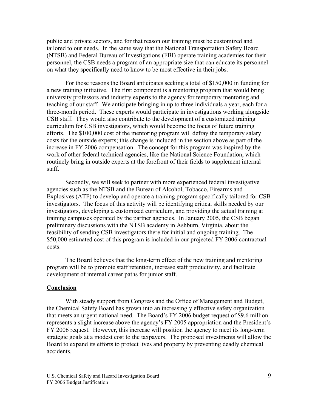public and private sectors, and for that reason our training must be customized and tailored to our needs. In the same way that the National Transportation Safety Board (NTSB) and Federal Bureau of Investigations (FBI) operate training academies for their personnel, the CSB needs a program of an appropriate size that can educate its personnel on what they specifically need to know to be most effective in their jobs.

For those reasons the Board anticipates seeking a total of \$150,000 in funding for a new training initiative. The first component is a mentoring program that would bring university professors and industry experts to the agency for temporary mentoring and teaching of our staff. We anticipate bringing in up to three individuals a year, each for a three-month period. These experts would participate in investigations working alongside CSB staff. They would also contribute to the development of a customized training curriculum for CSB investigators, which would become the focus of future training efforts. The \$100,000 cost of the mentoring program will defray the temporary salary costs for the outside experts; this change is included in the section above as part of the increase in FY 2006 compensation. The concept for this program was inspired by the work of other federal technical agencies, like the National Science Foundation, which routinely bring in outside experts at the forefront of their fields to supplement internal staff.

Secondly, we will seek to partner with more experienced federal investigative agencies such as the NTSB and the Bureau of Alcohol, Tobacco, Firearms and Explosives (ATF) to develop and operate a training program specifically tailored for CSB investigators. The focus of this activity will be identifying critical skills needed by our investigators, developing a customized curriculum, and providing the actual training at training campuses operated by the partner agencies. In January 2005, the CSB began preliminary discussions with the NTSB academy in Ashburn, Virginia, about the feasibility of sending CSB investigators there for initial and ongoing training. The \$50,000 estimated cost of this program is included in our projected FY 2006 contractual costs.

The Board believes that the long-term effect of the new training and mentoring program will be to promote staff retention, increase staff productivity, and facilitate development of internal career paths for junior staff.

#### **Conclusion**

With steady support from Congress and the Office of Management and Budget, the Chemical Safety Board has grown into an increasingly effective safety organization that meets an urgent national need. The Board's FY 2006 budget request of \$9.6 million represents a slight increase above the agency's FY 2005 appropriation and the President's FY 2006 request. However, this increase will position the agency to meet its long-term strategic goals at a modest cost to the taxpayers. The proposed investments will allow the Board to expand its efforts to protect lives and property by preventing deadly chemical accidents.

U.S. Chemical Safety and Hazard Investigation Board 9 FY 2006 Budget Justification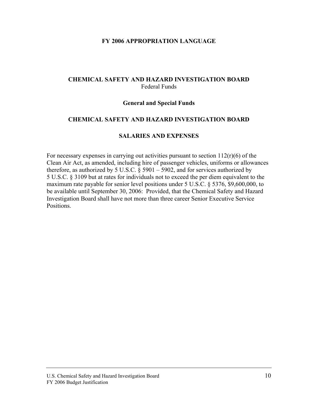#### **FY 2006 APPROPRIATION LANGUAGE**

## **CHEMICAL SAFETY AND HAZARD INVESTIGATION BOARD**  Federal Funds

#### **General and Special Funds**

#### **CHEMICAL SAFETY AND HAZARD INVESTIGATION BOARD**

#### **SALARIES AND EXPENSES**

For necessary expenses in carrying out activities pursuant to section  $112(r)(6)$  of the Clean Air Act, as amended, including hire of passenger vehicles, uniforms or allowances therefore, as authorized by 5 U.S.C.  $\frac{8}{9}$  5901 – 5902, and for services authorized by 5 U.S.C. § 3109 but at rates for individuals not to exceed the per diem equivalent to the maximum rate payable for senior level positions under 5 U.S.C. § 5376, \$9,600,000, to be available until September 30, 2006: Provided, that the Chemical Safety and Hazard Investigation Board shall have not more than three career Senior Executive Service Positions.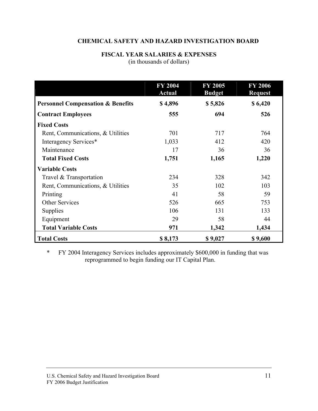# **CHEMICAL SAFETY AND HAZARD INVESTIGATION BOARD**

# **FISCAL YEAR SALARIES & EXPENSES**  (in thousands of dollars)

|                                              | <b>FY 2004</b><br><b>Actual</b> | <b>FY 2005</b><br><b>Budget</b> | <b>FY 2006</b><br><b>Request</b> |
|----------------------------------------------|---------------------------------|---------------------------------|----------------------------------|
| <b>Personnel Compensation &amp; Benefits</b> | \$4,896                         | \$5,826                         | \$6,420                          |
| <b>Contract Employees</b>                    | 555                             | 694                             | 526                              |
| <b>Fixed Costs</b>                           |                                 |                                 |                                  |
| Rent, Communications, & Utilities            | 701                             | 717                             | 764                              |
| Interagency Services*                        | 1,033                           | 412                             | 420                              |
| Maintenance                                  | 17                              | 36                              | 36                               |
| <b>Total Fixed Costs</b>                     | 1,751                           | 1,165                           | 1,220                            |
| <b>Variable Costs</b>                        |                                 |                                 |                                  |
| Travel & Transportation                      | 234                             | 328                             | 342                              |
| Rent, Communications, & Utilities            | 35                              | 102                             | 103                              |
| Printing                                     | 41                              | 58                              | 59                               |
| <b>Other Services</b>                        | 526                             | 665                             | 753                              |
| <b>Supplies</b>                              | 106                             | 131                             | 133                              |
| Equipment                                    | 29                              | 58                              | 44                               |
| <b>Total Variable Costs</b>                  | 971                             | 1,342                           | 1,434                            |
| <b>Total Costs</b>                           | \$8,173                         | \$9,027                         | \$9,600                          |

\* FY 2004 Interagency Services includes approximately \$600,000 in funding that was reprogrammed to begin funding our IT Capital Plan.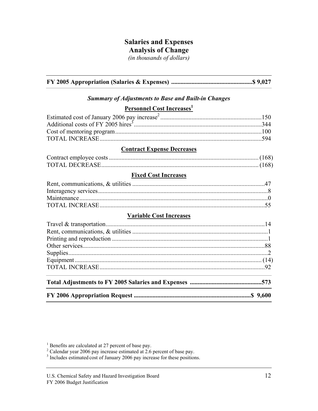# **Salaries and Expenses**

# **Analysis of Change**

*(in thousands of dollars)* 

**FY 2005 Appropriation (Salaries & Expenses) ....................................................\$ 9,027** 

# *Summary of Adjustments to Base and Built-in Changes*

# **Personnel Cost Increases**<sup>1</sup>

## **Contract Expense Decreases**

# **Fixed Cost Increases**

#### **Variable Cost Increases**

<sup>&</sup>lt;sup>1</sup> Benefits are calculated at 27 percent of base pay.<br><sup>2</sup> Calendar year 2006 pay increase estimated at 2.6 percent of base pay.

<sup>&</sup>lt;sup>3</sup> Includes estimated cost of January 2006 pay increase for these positions.